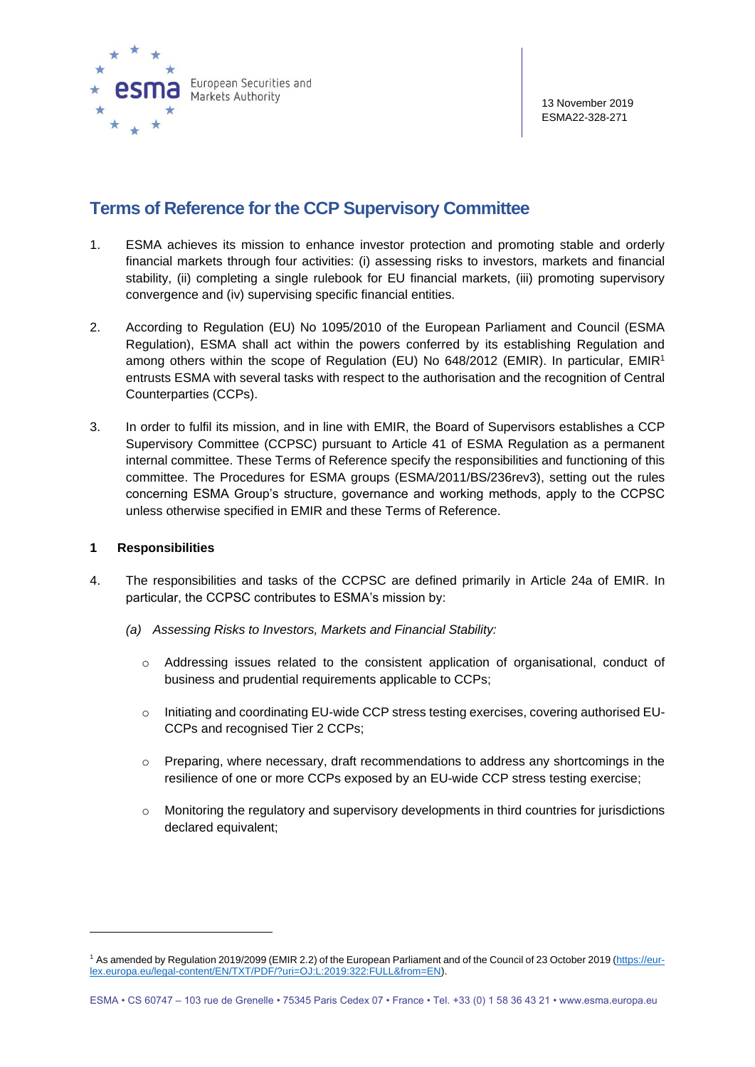

# **Terms of Reference for the CCP Supervisory Committee**

- 1. ESMA achieves its mission to enhance investor protection and promoting stable and orderly financial markets through four activities: (i) assessing risks to investors, markets and financial stability, (ii) completing a single rulebook for EU financial markets, (iii) promoting supervisory convergence and (iv) supervising specific financial entities.
- 2. According to Regulation (EU) No 1095/2010 of the European Parliament and Council (ESMA Regulation), ESMA shall act within the powers conferred by its establishing Regulation and among others within the scope of Regulation (EU) No 648/2012 (EMIR). In particular, EMIR<sup>1</sup> entrusts ESMA with several tasks with respect to the authorisation and the recognition of Central Counterparties (CCPs).
- 3. In order to fulfil its mission, and in line with EMIR, the Board of Supervisors establishes a CCP Supervisory Committee (CCPSC) pursuant to Article 41 of ESMA Regulation as a permanent internal committee. These Terms of Reference specify the responsibilities and functioning of this committee. The Procedures for ESMA groups (ESMA/2011/BS/236rev3), setting out the rules concerning ESMA Group's structure, governance and working methods, apply to the CCPSC unless otherwise specified in EMIR and these Terms of Reference.

### **1 Responsibilities**

- 4. The responsibilities and tasks of the CCPSC are defined primarily in Article 24a of EMIR. In particular, the CCPSC contributes to ESMA's mission by:
	- *(a) Assessing Risks to Investors, Markets and Financial Stability:*
		- $\circ$  Addressing issues related to the consistent application of organisational, conduct of business and prudential requirements applicable to CCPs;
		- o Initiating and coordinating EU-wide CCP stress testing exercises, covering authorised EU-CCPs and recognised Tier 2 CCPs;
		- $\circ$  Preparing, where necessary, draft recommendations to address any shortcomings in the resilience of one or more CCPs exposed by an EU-wide CCP stress testing exercise;
		- $\circ$  Monitoring the regulatory and supervisory developments in third countries for jurisdictions declared equivalent;

<sup>1</sup> As amended by Regulation 2019/2099 (EMIR 2.2) of the European Parliament and of the Council of 23 October 2019 [\(https://eur](https://eur-lex.europa.eu/legal-content/EN/TXT/PDF/?uri=OJ:L:2019:322:FULL&from=EN)[lex.europa.eu/legal-content/EN/TXT/PDF/?uri=OJ:L:2019:322:FULL&from=EN\)](https://eur-lex.europa.eu/legal-content/EN/TXT/PDF/?uri=OJ:L:2019:322:FULL&from=EN).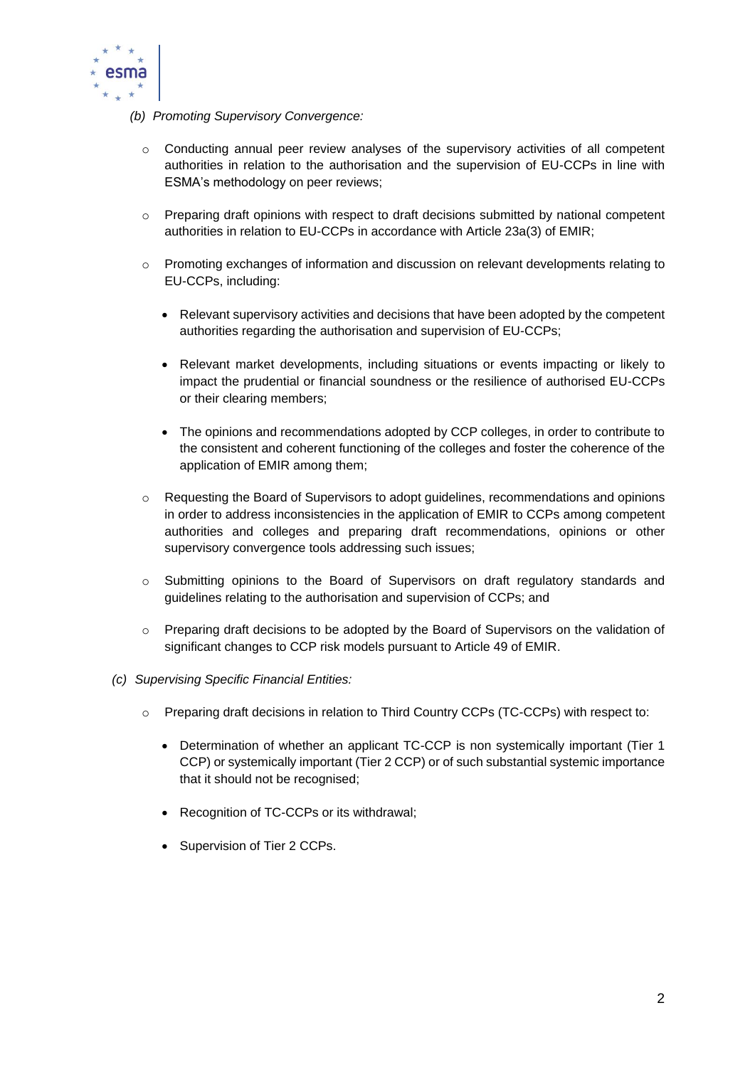

- *(b) Promoting Supervisory Convergence:*
	- $\circ$  Conducting annual peer review analyses of the supervisory activities of all competent authorities in relation to the authorisation and the supervision of EU-CCPs in line with ESMA's methodology on peer reviews;
	- o Preparing draft opinions with respect to draft decisions submitted by national competent authorities in relation to EU-CCPs in accordance with Article 23a(3) of EMIR;
	- o Promoting exchanges of information and discussion on relevant developments relating to EU-CCPs, including:
		- Relevant supervisory activities and decisions that have been adopted by the competent authorities regarding the authorisation and supervision of EU-CCPs;
		- Relevant market developments, including situations or events impacting or likely to impact the prudential or financial soundness or the resilience of authorised EU-CCPs or their clearing members;
		- The opinions and recommendations adopted by CCP colleges, in order to contribute to the consistent and coherent functioning of the colleges and foster the coherence of the application of EMIR among them;
	- o Requesting the Board of Supervisors to adopt guidelines, recommendations and opinions in order to address inconsistencies in the application of EMIR to CCPs among competent authorities and colleges and preparing draft recommendations, opinions or other supervisory convergence tools addressing such issues;
	- o Submitting opinions to the Board of Supervisors on draft regulatory standards and guidelines relating to the authorisation and supervision of CCPs; and
	- o Preparing draft decisions to be adopted by the Board of Supervisors on the validation of significant changes to CCP risk models pursuant to Article 49 of EMIR.
- *(c) Supervising Specific Financial Entities:*
	- o Preparing draft decisions in relation to Third Country CCPs (TC-CCPs) with respect to:
		- Determination of whether an applicant TC-CCP is non systemically important (Tier 1 CCP) or systemically important (Tier 2 CCP) or of such substantial systemic importance that it should not be recognised;
		- Recognition of TC-CCPs or its withdrawal;
		- Supervision of Tier 2 CCPs.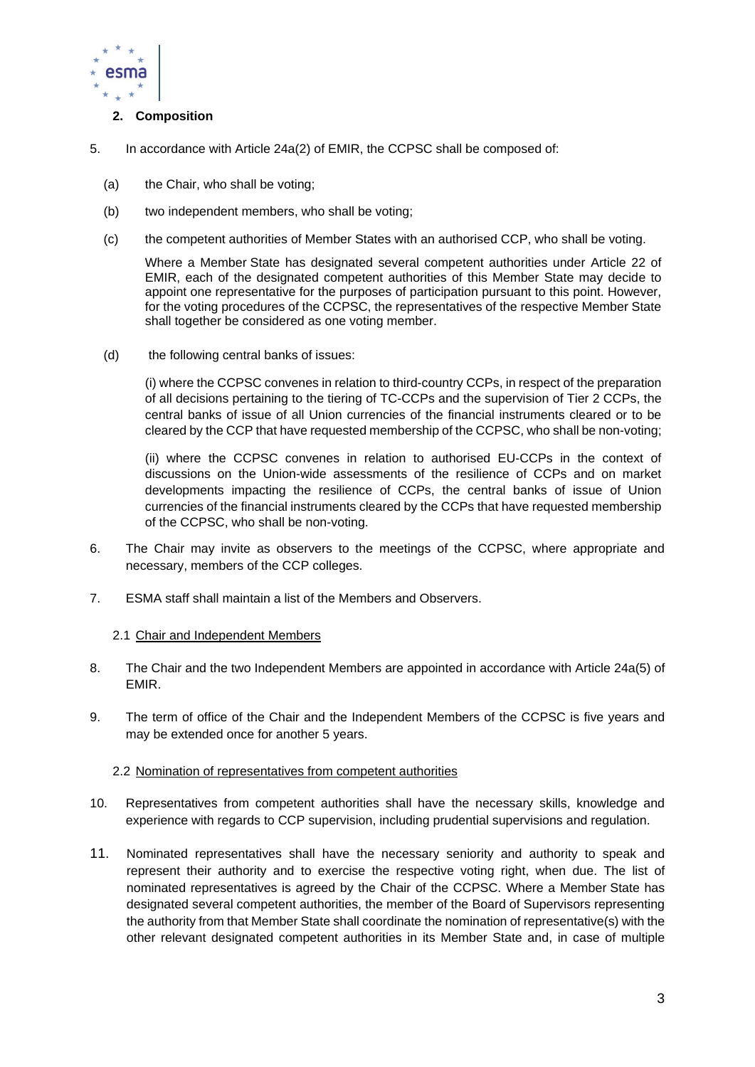

# **2. Composition**

- 5. In accordance with Article 24a(2) of EMIR, the CCPSC shall be composed of:
	- (a) the Chair, who shall be voting;
	- (b) two independent members, who shall be voting;
	- (c) the competent authorities of Member States with an authorised CCP, who shall be voting.

Where a Member State has designated several competent authorities under Article 22 of EMIR, each of the designated competent authorities of this Member State may decide to appoint one representative for the purposes of participation pursuant to this point. However, for the voting procedures of the CCPSC, the representatives of the respective Member State shall together be considered as one voting member.

(d) the following central banks of issues:

(i) where the CCPSC convenes in relation to third-country CCPs, in respect of the preparation of all decisions pertaining to the tiering of TC-CCPs and the supervision of Tier 2 CCPs, the central banks of issue of all Union currencies of the financial instruments cleared or to be cleared by the CCP that have requested membership of the CCPSC, who shall be non-voting;

(ii) where the CCPSC convenes in relation to authorised EU-CCPs in the context of discussions on the Union-wide assessments of the resilience of CCPs and on market developments impacting the resilience of CCPs, the central banks of issue of Union currencies of the financial instruments cleared by the CCPs that have requested membership of the CCPSC, who shall be non-voting.

- 6. The Chair may invite as observers to the meetings of the CCPSC, where appropriate and necessary, members of the CCP colleges.
- 7. ESMA staff shall maintain a list of the Members and Observers.

#### 2.1 Chair and Independent Members

- 8. The Chair and the two Independent Members are appointed in accordance with Article 24a(5) of EMIR.
- 9. The term of office of the Chair and the Independent Members of the CCPSC is five years and may be extended once for another 5 years.

#### 2.2 Nomination of representatives from competent authorities

- 10. Representatives from competent authorities shall have the necessary skills, knowledge and experience with regards to CCP supervision, including prudential supervisions and regulation.
- 11. Nominated representatives shall have the necessary seniority and authority to speak and represent their authority and to exercise the respective voting right, when due. The list of nominated representatives is agreed by the Chair of the CCPSC. Where a Member State has designated several competent authorities, the member of the Board of Supervisors representing the authority from that Member State shall coordinate the nomination of representative(s) with the other relevant designated competent authorities in its Member State and, in case of multiple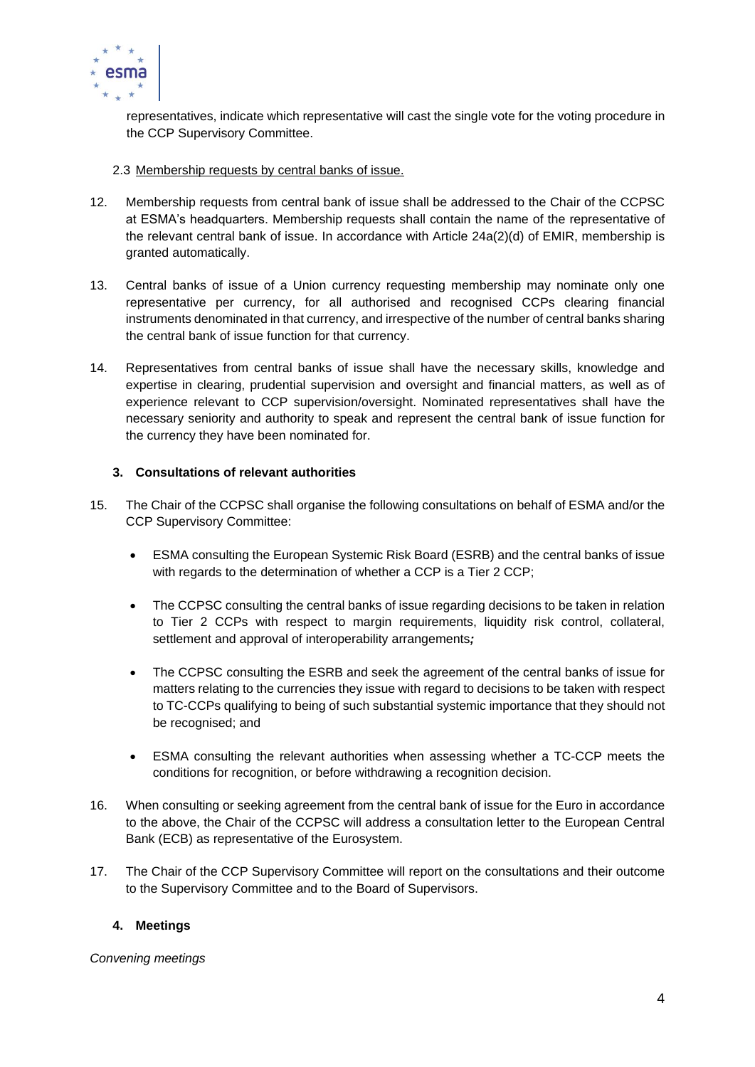

representatives, indicate which representative will cast the single vote for the voting procedure in the CCP Supervisory Committee.

- 2.3 Membership requests by central banks of issue.
- 12. Membership requests from central bank of issue shall be addressed to the Chair of the CCPSC at ESMA's headquarters. Membership requests shall contain the name of the representative of the relevant central bank of issue. In accordance with Article 24a(2)(d) of EMIR, membership is granted automatically.
- 13. Central banks of issue of a Union currency requesting membership may nominate only one representative per currency, for all authorised and recognised CCPs clearing financial instruments denominated in that currency, and irrespective of the number of central banks sharing the central bank of issue function for that currency.
- 14. Representatives from central banks of issue shall have the necessary skills, knowledge and expertise in clearing, prudential supervision and oversight and financial matters, as well as of experience relevant to CCP supervision/oversight. Nominated representatives shall have the necessary seniority and authority to speak and represent the central bank of issue function for the currency they have been nominated for.

# **3. Consultations of relevant authorities**

- 15. The Chair of the CCPSC shall organise the following consultations on behalf of ESMA and/or the CCP Supervisory Committee:
	- ESMA consulting the European Systemic Risk Board (ESRB) and the central banks of issue with regards to the determination of whether a CCP is a Tier 2 CCP;
	- The CCPSC consulting the central banks of issue regarding decisions to be taken in relation to Tier 2 CCPs with respect to margin requirements, liquidity risk control, collateral, settlement and approval of interoperability arrangements*;*
	- The CCPSC consulting the ESRB and seek the agreement of the central banks of issue for matters relating to the currencies they issue with regard to decisions to be taken with respect to TC-CCPs qualifying to being of such substantial systemic importance that they should not be recognised; and
	- ESMA consulting the relevant authorities when assessing whether a TC-CCP meets the conditions for recognition, or before withdrawing a recognition decision.
- 16. When consulting or seeking agreement from the central bank of issue for the Euro in accordance to the above, the Chair of the CCPSC will address a consultation letter to the European Central Bank (ECB) as representative of the Eurosystem.
- 17. The Chair of the CCP Supervisory Committee will report on the consultations and their outcome to the Supervisory Committee and to the Board of Supervisors.

# **4. Meetings**

*Convening meetings*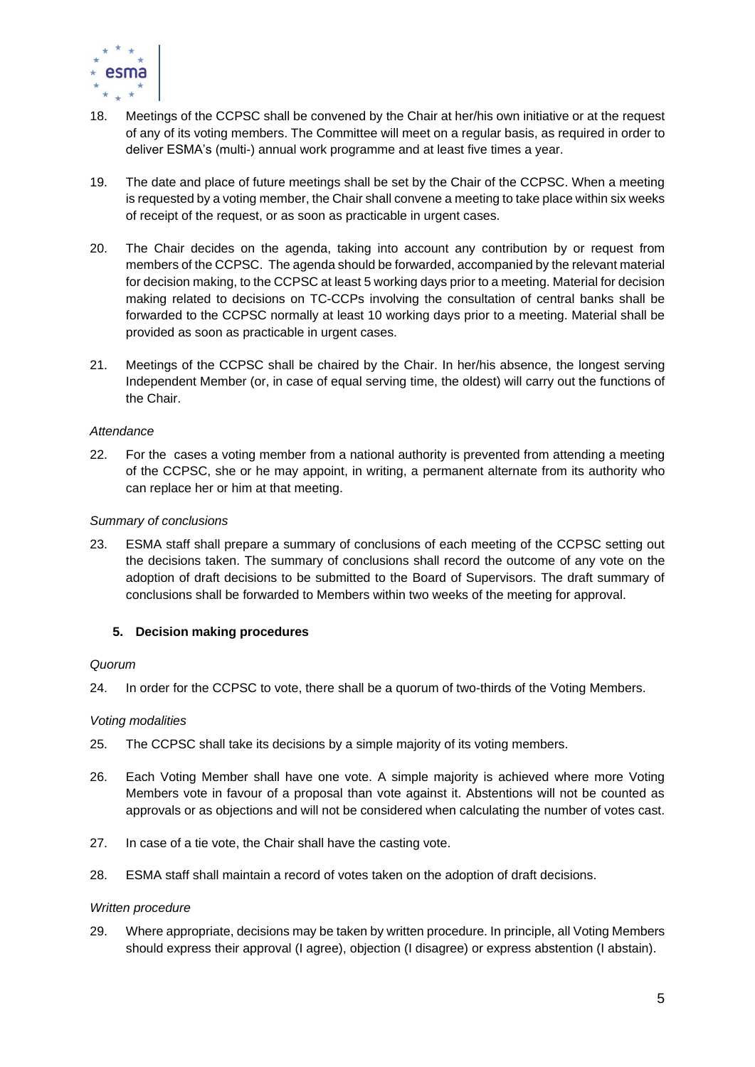

- 18. Meetings of the CCPSC shall be convened by the Chair at her/his own initiative or at the request of any of its voting members. The Committee will meet on a regular basis, as required in order to deliver ESMA's (multi-) annual work programme and at least five times a year.
- 19. The date and place of future meetings shall be set by the Chair of the CCPSC. When a meeting is requested by a voting member, the Chair shall convene a meeting to take place within six weeks of receipt of the request, or as soon as practicable in urgent cases.
- 20. The Chair decides on the agenda, taking into account any contribution by or request from members of the CCPSC. The agenda should be forwarded, accompanied by the relevant material for decision making, to the CCPSC at least 5 working days prior to a meeting. Material for decision making related to decisions on TC-CCPs involving the consultation of central banks shall be forwarded to the CCPSC normally at least 10 working days prior to a meeting. Material shall be provided as soon as practicable in urgent cases.
- 21. Meetings of the CCPSC shall be chaired by the Chair. In her/his absence, the longest serving Independent Member (or, in case of equal serving time, the oldest) will carry out the functions of the Chair.

### *Attendance*

22. For the cases a voting member from a national authority is prevented from attending a meeting of the CCPSC, she or he may appoint, in writing, a permanent alternate from its authority who can replace her or him at that meeting.

#### *Summary of conclusions*

23. ESMA staff shall prepare a summary of conclusions of each meeting of the CCPSC setting out the decisions taken. The summary of conclusions shall record the outcome of any vote on the adoption of draft decisions to be submitted to the Board of Supervisors. The draft summary of conclusions shall be forwarded to Members within two weeks of the meeting for approval.

### **5. Decision making procedures**

#### *Quorum*

24. In order for the CCPSC to vote, there shall be a quorum of two-thirds of the Voting Members.

#### *Voting modalities*

- 25. The CCPSC shall take its decisions by a simple majority of its voting members.
- 26. Each Voting Member shall have one vote. A simple majority is achieved where more Voting Members vote in favour of a proposal than vote against it. Abstentions will not be counted as approvals or as objections and will not be considered when calculating the number of votes cast.
- 27. In case of a tie vote, the Chair shall have the casting vote.
- 28. ESMA staff shall maintain a record of votes taken on the adoption of draft decisions.

#### *Written procedure*

29. Where appropriate, decisions may be taken by written procedure. In principle, all Voting Members should express their approval (I agree), objection (I disagree) or express abstention (I abstain).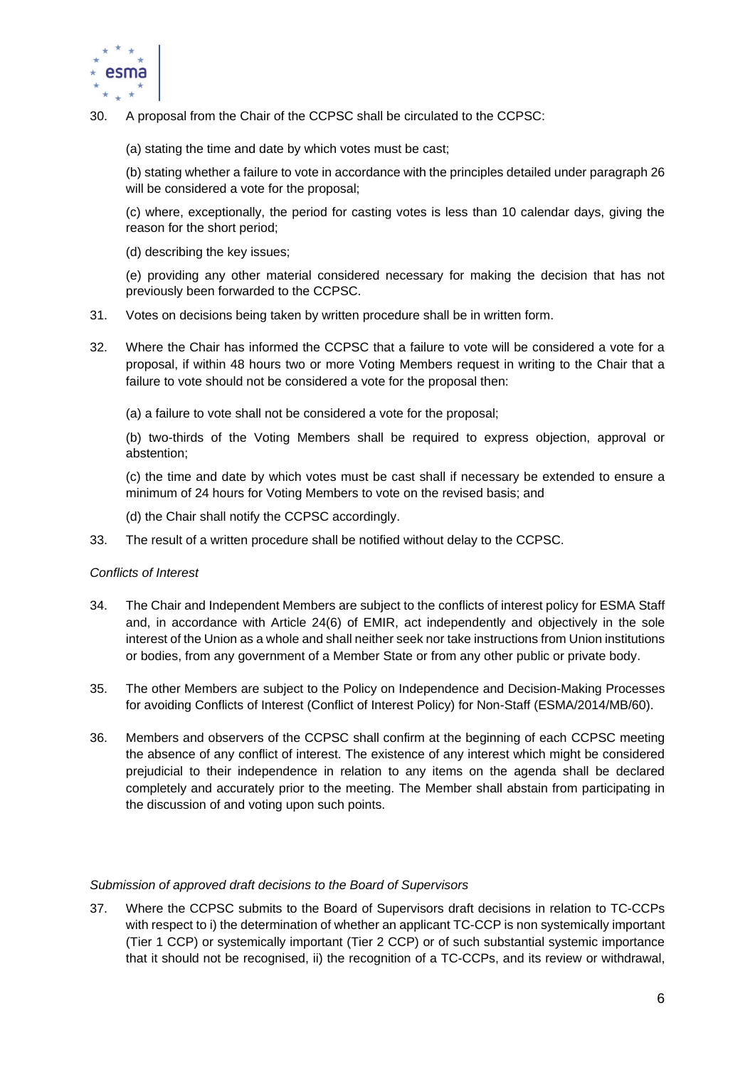

- 30. A proposal from the Chair of the CCPSC shall be circulated to the CCPSC:
	- (a) stating the time and date by which votes must be cast;

(b) stating whether a failure to vote in accordance with the principles detailed under paragraph 26 will be considered a vote for the proposal;

(c) where, exceptionally, the period for casting votes is less than 10 calendar days, giving the reason for the short period;

(d) describing the key issues;

(e) providing any other material considered necessary for making the decision that has not previously been forwarded to the CCPSC.

- 31. Votes on decisions being taken by written procedure shall be in written form.
- 32. Where the Chair has informed the CCPSC that a failure to vote will be considered a vote for a proposal, if within 48 hours two or more Voting Members request in writing to the Chair that a failure to vote should not be considered a vote for the proposal then:
	- (a) a failure to vote shall not be considered a vote for the proposal;

(b) two-thirds of the Voting Members shall be required to express objection, approval or abstention;

(c) the time and date by which votes must be cast shall if necessary be extended to ensure a minimum of 24 hours for Voting Members to vote on the revised basis; and

- (d) the Chair shall notify the CCPSC accordingly.
- 33. The result of a written procedure shall be notified without delay to the CCPSC.

### *Conflicts of Interest*

- 34. The Chair and Independent Members are subject to the conflicts of interest policy for ESMA Staff and, in accordance with Article 24(6) of EMIR, act independently and objectively in the sole interest of the Union as a whole and shall neither seek nor take instructions from Union institutions or bodies, from any government of a Member State or from any other public or private body.
- 35. The other Members are subject to the Policy on Independence and Decision-Making Processes for avoiding Conflicts of Interest (Conflict of Interest Policy) for Non-Staff (ESMA/2014/MB/60).
- 36. Members and observers of the CCPSC shall confirm at the beginning of each CCPSC meeting the absence of any conflict of interest. The existence of any interest which might be considered prejudicial to their independence in relation to any items on the agenda shall be declared completely and accurately prior to the meeting. The Member shall abstain from participating in the discussion of and voting upon such points.

#### *Submission of approved draft decisions to the Board of Supervisors*

37. Where the CCPSC submits to the Board of Supervisors draft decisions in relation to TC-CCPs with respect to i) the determination of whether an applicant TC-CCP is non systemically important (Tier 1 CCP) or systemically important (Tier 2 CCP) or of such substantial systemic importance that it should not be recognised, ii) the recognition of a TC-CCPs, and its review or withdrawal,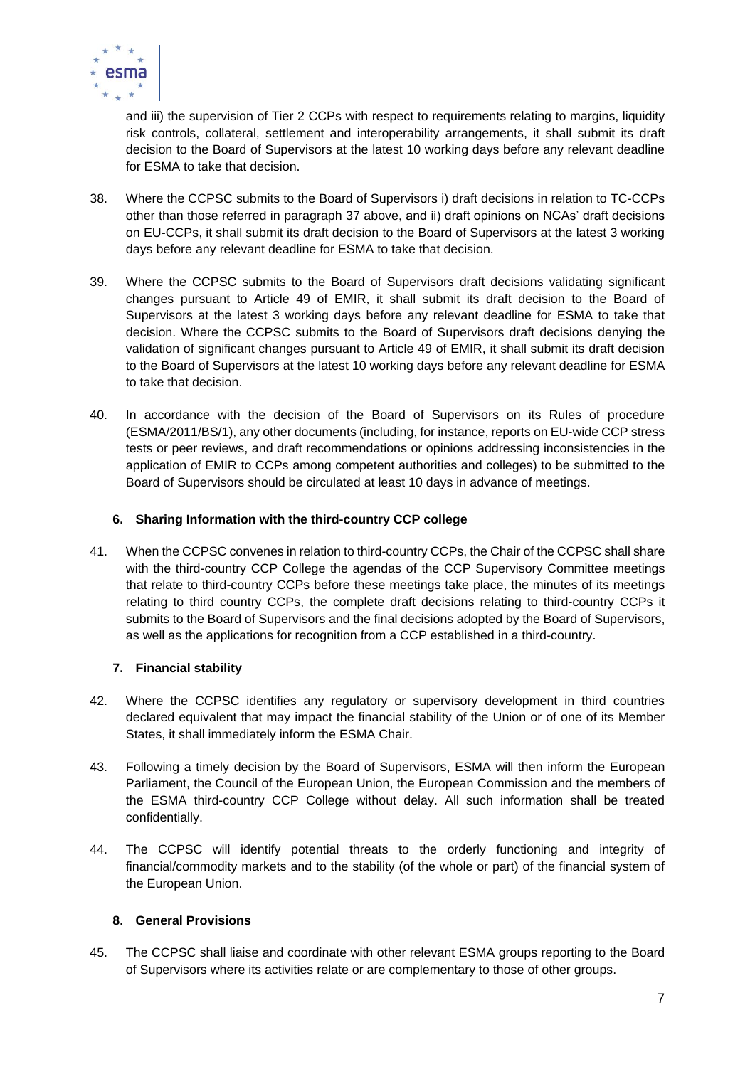

and iii) the supervision of Tier 2 CCPs with respect to requirements relating to margins, liquidity risk controls, collateral, settlement and interoperability arrangements, it shall submit its draft decision to the Board of Supervisors at the latest 10 working days before any relevant deadline for ESMA to take that decision.

- 38. Where the CCPSC submits to the Board of Supervisors i) draft decisions in relation to TC-CCPs other than those referred in paragraph 37 above, and ii) draft opinions on NCAs' draft decisions on EU-CCPs, it shall submit its draft decision to the Board of Supervisors at the latest 3 working days before any relevant deadline for ESMA to take that decision.
- 39. Where the CCPSC submits to the Board of Supervisors draft decisions validating significant changes pursuant to Article 49 of EMIR, it shall submit its draft decision to the Board of Supervisors at the latest 3 working days before any relevant deadline for ESMA to take that decision. Where the CCPSC submits to the Board of Supervisors draft decisions denying the validation of significant changes pursuant to Article 49 of EMIR, it shall submit its draft decision to the Board of Supervisors at the latest 10 working days before any relevant deadline for ESMA to take that decision.
- 40. In accordance with the decision of the Board of Supervisors on its Rules of procedure (ESMA/2011/BS/1), any other documents (including, for instance, reports on EU-wide CCP stress tests or peer reviews, and draft recommendations or opinions addressing inconsistencies in the application of EMIR to CCPs among competent authorities and colleges) to be submitted to the Board of Supervisors should be circulated at least 10 days in advance of meetings.

# **6. Sharing Information with the third-country CCP college**

41. When the CCPSC convenes in relation to third-country CCPs, the Chair of the CCPSC shall share with the third-country CCP College the agendas of the CCP Supervisory Committee meetings that relate to third-country CCPs before these meetings take place, the minutes of its meetings relating to third country CCPs, the complete draft decisions relating to third-country CCPs it submits to the Board of Supervisors and the final decisions adopted by the Board of Supervisors, as well as the applications for recognition from a CCP established in a third-country.

# **7. Financial stability**

- 42. Where the CCPSC identifies any regulatory or supervisory development in third countries declared equivalent that may impact the financial stability of the Union or of one of its Member States, it shall immediately inform the ESMA Chair.
- 43. Following a timely decision by the Board of Supervisors, ESMA will then inform the European Parliament, the Council of the European Union, the European Commission and the members of the ESMA third-country CCP College without delay. All such information shall be treated confidentially.
- 44. The CCPSC will identify potential threats to the orderly functioning and integrity of financial/commodity markets and to the stability (of the whole or part) of the financial system of the European Union.

# **8. General Provisions**

45. The CCPSC shall liaise and coordinate with other relevant ESMA groups reporting to the Board of Supervisors where its activities relate or are complementary to those of other groups.